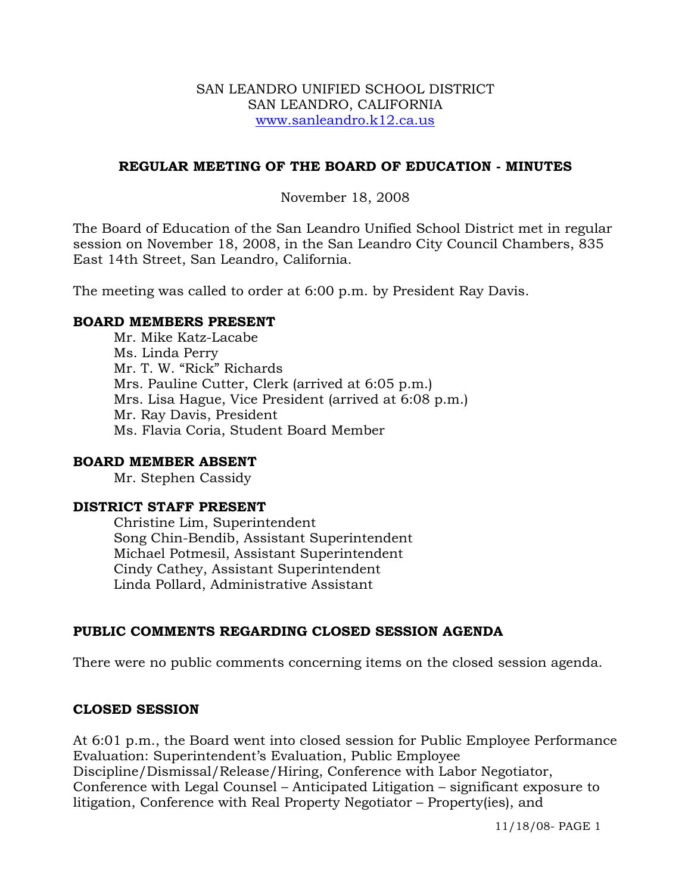#### SAN LEANDRO UNIFIED SCHOOL DISTRICT SAN LEANDRO, CALIFORNIA www.sanleandro.k12.ca.us

#### **REGULAR MEETING OF THE BOARD OF EDUCATION - MINUTES**

#### November 18, 2008

The Board of Education of the San Leandro Unified School District met in regular session on November 18, 2008, in the San Leandro City Council Chambers, 835 East 14th Street, San Leandro, California.

The meeting was called to order at 6:00 p.m. by President Ray Davis.

#### **BOARD MEMBERS PRESENT**

Mr. Mike Katz-Lacabe Ms. Linda Perry Mr. T. W. "Rick" Richards Mrs. Pauline Cutter, Clerk (arrived at 6:05 p.m.) Mrs. Lisa Hague, Vice President (arrived at 6:08 p.m.) Mr. Ray Davis, President Ms. Flavia Coria, Student Board Member

#### **BOARD MEMBER ABSENT**

Mr. Stephen Cassidy

#### **DISTRICT STAFF PRESENT**

Christine Lim, Superintendent Song Chin-Bendib, Assistant Superintendent Michael Potmesil, Assistant Superintendent Cindy Cathey, Assistant Superintendent Linda Pollard, Administrative Assistant

# **PUBLIC COMMENTS REGARDING CLOSED SESSION AGENDA**

There were no public comments concerning items on the closed session agenda.

#### **CLOSED SESSION**

At 6:01 p.m., the Board went into closed session for Public Employee Performance Evaluation: Superintendent's Evaluation, Public Employee Discipline/Dismissal/Release/Hiring, Conference with Labor Negotiator, Conference with Legal Counsel – Anticipated Litigation – significant exposure to litigation, Conference with Real Property Negotiator – Property(ies), and

11/18/08- PAGE 1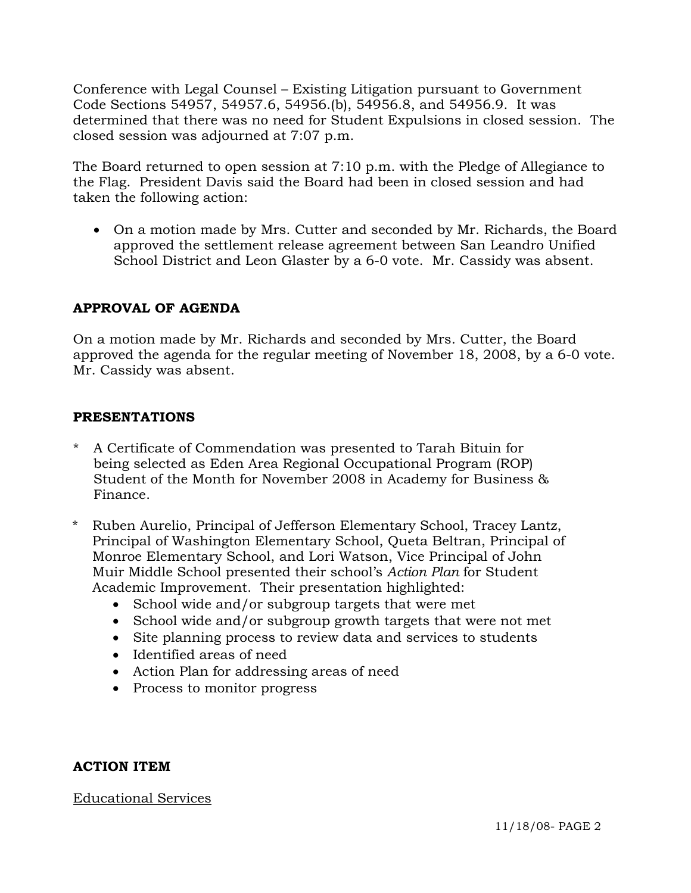Conference with Legal Counsel – Existing Litigation pursuant to Government Code Sections 54957, 54957.6, 54956.(b), 54956.8, and 54956.9. It was determined that there was no need for Student Expulsions in closed session. The closed session was adjourned at 7:07 p.m.

The Board returned to open session at 7:10 p.m. with the Pledge of Allegiance to the Flag. President Davis said the Board had been in closed session and had taken the following action:

• On a motion made by Mrs. Cutter and seconded by Mr. Richards, the Board approved the settlement release agreement between San Leandro Unified School District and Leon Glaster by a 6-0 vote. Mr. Cassidy was absent.

# **APPROVAL OF AGENDA**

On a motion made by Mr. Richards and seconded by Mrs. Cutter, the Board approved the agenda for the regular meeting of November 18, 2008, by a 6-0 vote. Mr. Cassidy was absent.

#### **PRESENTATIONS**

- \* A Certificate of Commendation was presented to Tarah Bituin for being selected as Eden Area Regional Occupational Program (ROP) Student of the Month for November 2008 in Academy for Business & Finance.
- \* Ruben Aurelio, Principal of Jefferson Elementary School, Tracey Lantz, Principal of Washington Elementary School, Queta Beltran, Principal of Monroe Elementary School, and Lori Watson, Vice Principal of John Muir Middle School presented their school's *Action Plan* for Student Academic Improvement. Their presentation highlighted:
	- School wide and/or subgroup targets that were met
	- School wide and/or subgroup growth targets that were not met
	- Site planning process to review data and services to students
	- Identified areas of need
	- Action Plan for addressing areas of need
	- Process to monitor progress

# **ACTION ITEM**

# Educational Services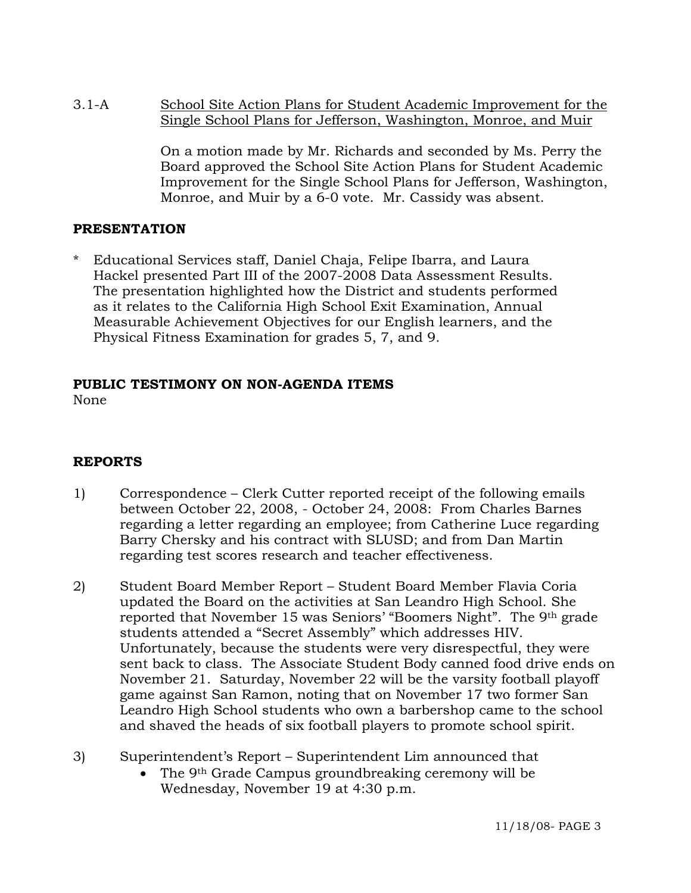3.1-A School Site Action Plans for Student Academic Improvement for the Single School Plans for Jefferson, Washington, Monroe, and Muir

> On a motion made by Mr. Richards and seconded by Ms. Perry the Board approved the School Site Action Plans for Student Academic Improvement for the Single School Plans for Jefferson, Washington, Monroe, and Muir by a 6-0 vote. Mr. Cassidy was absent.

# **PRESENTATION**

\* Educational Services staff, Daniel Chaja, Felipe Ibarra, and Laura Hackel presented Part III of the 2007-2008 Data Assessment Results. The presentation highlighted how the District and students performed as it relates to the California High School Exit Examination, Annual Measurable Achievement Objectives for our English learners, and the Physical Fitness Examination for grades 5, 7, and 9.

# **PUBLIC TESTIMONY ON NON-AGENDA ITEMS**

None

# **REPORTS**

- 1) Correspondence Clerk Cutter reported receipt of the following emails between October 22, 2008, - October 24, 2008: From Charles Barnes regarding a letter regarding an employee; from Catherine Luce regarding Barry Chersky and his contract with SLUSD; and from Dan Martin regarding test scores research and teacher effectiveness.
- 2) Student Board Member Report Student Board Member Flavia Coria updated the Board on the activities at San Leandro High School. She reported that November 15 was Seniors' "Boomers Night". The 9th grade students attended a "Secret Assembly" which addresses HIV. Unfortunately, because the students were very disrespectful, they were sent back to class. The Associate Student Body canned food drive ends on November 21. Saturday, November 22 will be the varsity football playoff game against San Ramon, noting that on November 17 two former San Leandro High School students who own a barbershop came to the school and shaved the heads of six football players to promote school spirit.
- 3) Superintendent's Report Superintendent Lim announced that
	- The 9<sup>th</sup> Grade Campus groundbreaking ceremony will be Wednesday, November 19 at 4:30 p.m.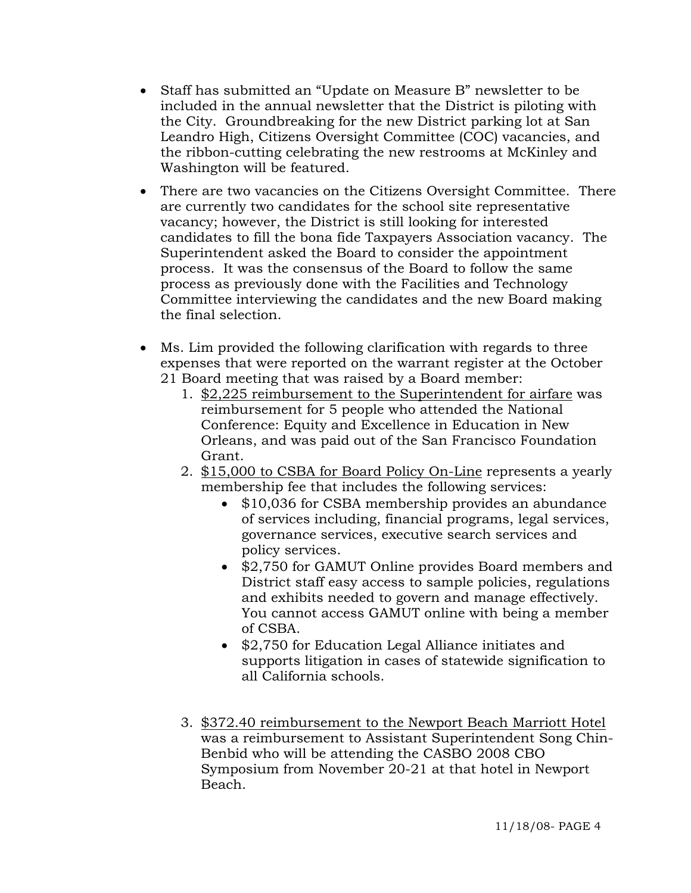- Staff has submitted an "Update on Measure B" newsletter to be included in the annual newsletter that the District is piloting with the City. Groundbreaking for the new District parking lot at San Leandro High, Citizens Oversight Committee (COC) vacancies, and the ribbon-cutting celebrating the new restrooms at McKinley and Washington will be featured.
- There are two vacancies on the Citizens Oversight Committee. There are currently two candidates for the school site representative vacancy; however, the District is still looking for interested candidates to fill the bona fide Taxpayers Association vacancy. The Superintendent asked the Board to consider the appointment process. It was the consensus of the Board to follow the same process as previously done with the Facilities and Technology Committee interviewing the candidates and the new Board making the final selection.
- Ms. Lim provided the following clarification with regards to three expenses that were reported on the warrant register at the October 21 Board meeting that was raised by a Board member:
	- 1. \$2,225 reimbursement to the Superintendent for airfare was reimbursement for 5 people who attended the National Conference: Equity and Excellence in Education in New Orleans, and was paid out of the San Francisco Foundation Grant.
	- 2. \$15,000 to CSBA for Board Policy On-Line represents a yearly membership fee that includes the following services:
		- \$10,036 for CSBA membership provides an abundance of services including, financial programs, legal services, governance services, executive search services and policy services.
		- \$2,750 for GAMUT Online provides Board members and District staff easy access to sample policies, regulations and exhibits needed to govern and manage effectively. You cannot access GAMUT online with being a member of CSBA.
		- \$2,750 for Education Legal Alliance initiates and supports litigation in cases of statewide signification to all California schools.
	- 3. \$372.40 reimbursement to the Newport Beach Marriott Hotel was a reimbursement to Assistant Superintendent Song Chin-Benbid who will be attending the CASBO 2008 CBO Symposium from November 20-21 at that hotel in Newport Beach.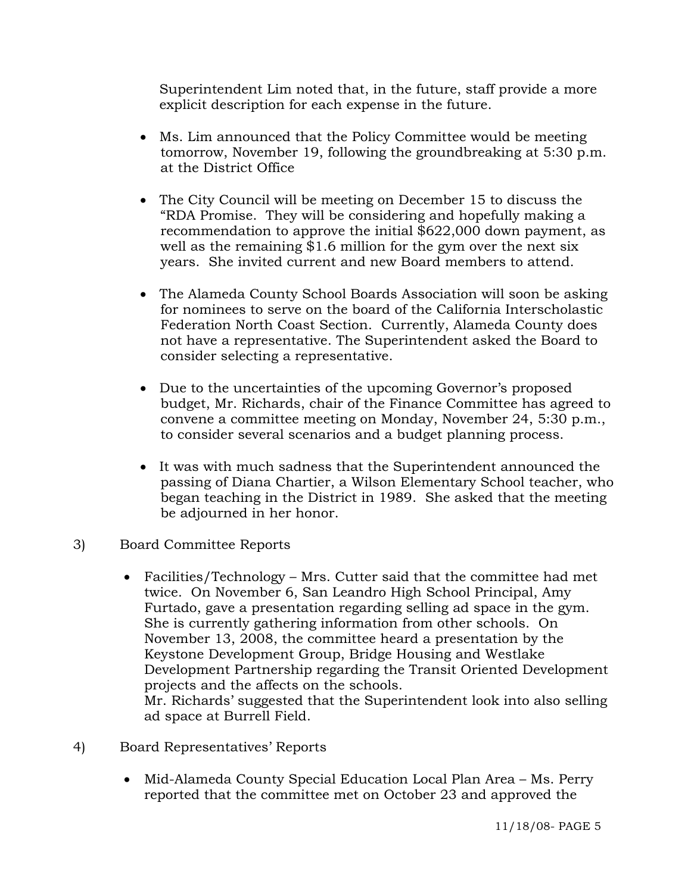Superintendent Lim noted that, in the future, staff provide a more explicit description for each expense in the future.

- Ms. Lim announced that the Policy Committee would be meeting tomorrow, November 19, following the groundbreaking at 5:30 p.m. at the District Office
- The City Council will be meeting on December 15 to discuss the "RDA Promise. They will be considering and hopefully making a recommendation to approve the initial \$622,000 down payment, as well as the remaining \$1.6 million for the gym over the next six years. She invited current and new Board members to attend.
- The Alameda County School Boards Association will soon be asking for nominees to serve on the board of the California Interscholastic Federation North Coast Section. Currently, Alameda County does not have a representative. The Superintendent asked the Board to consider selecting a representative.
- Due to the uncertainties of the upcoming Governor's proposed budget, Mr. Richards, chair of the Finance Committee has agreed to convene a committee meeting on Monday, November 24, 5:30 p.m., to consider several scenarios and a budget planning process.
- It was with much sadness that the Superintendent announced the passing of Diana Chartier, a Wilson Elementary School teacher, who began teaching in the District in 1989. She asked that the meeting be adjourned in her honor.
- 3) Board Committee Reports
	- Facilities/Technology Mrs. Cutter said that the committee had met twice. On November 6, San Leandro High School Principal, Amy Furtado, gave a presentation regarding selling ad space in the gym. She is currently gathering information from other schools. On November 13, 2008, the committee heard a presentation by the Keystone Development Group, Bridge Housing and Westlake Development Partnership regarding the Transit Oriented Development projects and the affects on the schools. Mr. Richards' suggested that the Superintendent look into also selling ad space at Burrell Field.
- 4) Board Representatives' Reports
	- Mid-Alameda County Special Education Local Plan Area Ms. Perry reported that the committee met on October 23 and approved the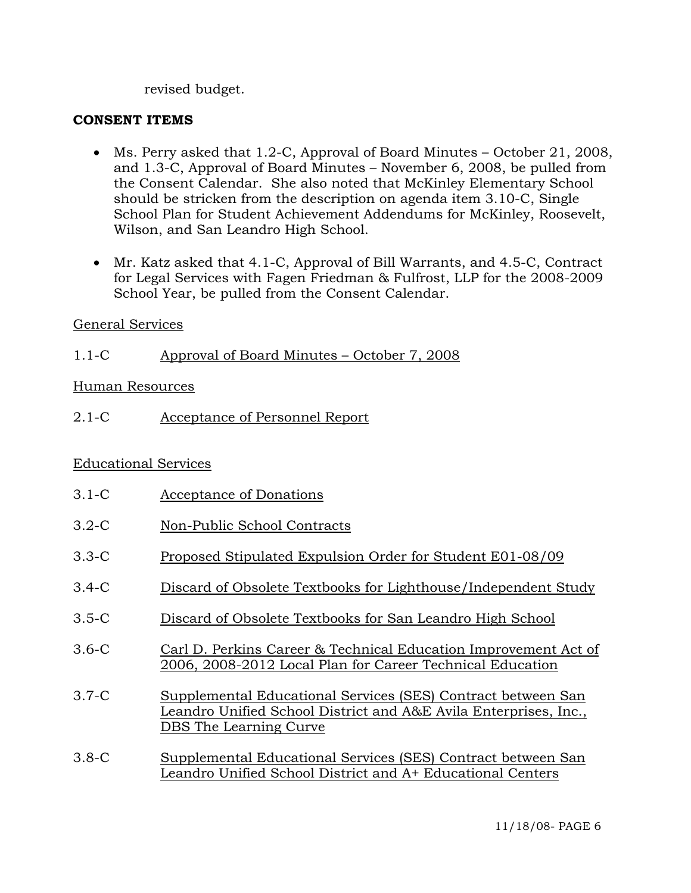revised budget.

#### **CONSENT ITEMS**

- Ms. Perry asked that 1.2-C, Approval of Board Minutes October 21, 2008, and 1.3-C, Approval of Board Minutes – November 6, 2008, be pulled from the Consent Calendar. She also noted that McKinley Elementary School should be stricken from the description on agenda item 3.10-C, Single School Plan for Student Achievement Addendums for McKinley, Roosevelt, Wilson, and San Leandro High School.
- Mr. Katz asked that 4.1-C, Approval of Bill Warrants, and 4.5-C, Contract for Legal Services with Fagen Friedman & Fulfrost, LLP for the 2008-2009 School Year, be pulled from the Consent Calendar.

#### General Services

1.1-C Approval of Board Minutes – October 7, 2008

#### Human Resources

2.1-C Acceptance of Personnel Report

# Educational Services

- 3.1-C Acceptance of Donations
- 3.2-C Non-Public School Contracts
- 3.3-C Proposed Stipulated Expulsion Order for Student E01-08/09
- 3.4-C Discard of Obsolete Textbooks for Lighthouse/Independent Study
- 3.5-C Discard of Obsolete Textbooks for San Leandro High School
- 3.6-C Carl D. Perkins Career & Technical Education Improvement Act of 2006, 2008-2012 Local Plan for Career Technical Education
- 3.7-C Supplemental Educational Services (SES) Contract between San Leandro Unified School District and A&E Avila Enterprises, Inc., DBS The Learning Curve
- 3.8-C Supplemental Educational Services (SES) Contract between San Leandro Unified School District and A+ Educational Centers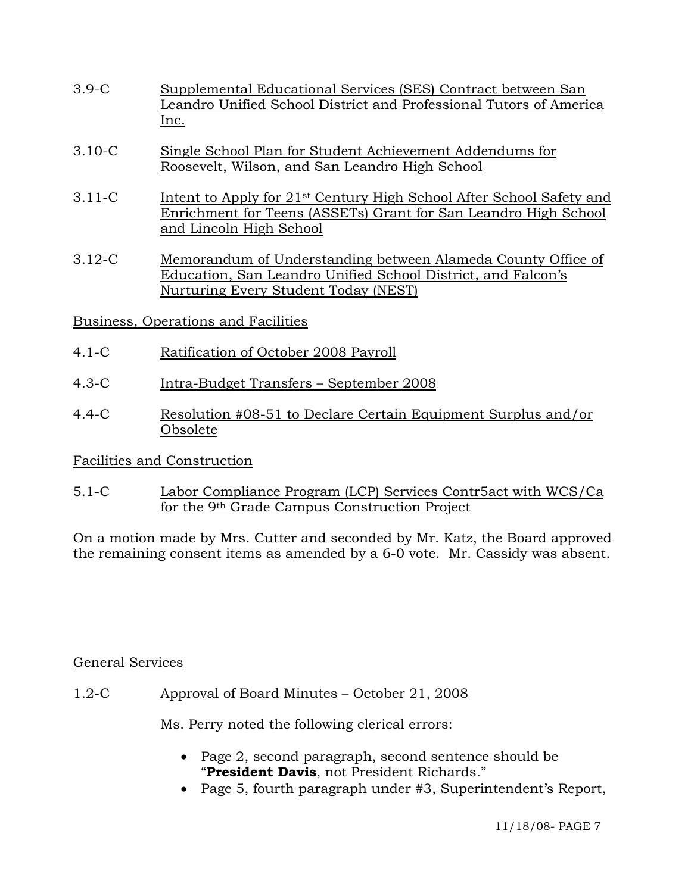- 3.9-C Supplemental Educational Services (SES) Contract between San Leandro Unified School District and Professional Tutors of America Inc.
- 3.10-C Single School Plan for Student Achievement Addendums for Roosevelt, Wilson, and San Leandro High School
- 3.11-C Intent to Apply for 21st Century High School After School Safety and Enrichment for Teens (ASSETs) Grant for San Leandro High School and Lincoln High School
- 3.12-C Memorandum of Understanding between Alameda County Office of Education, San Leandro Unified School District, and Falcon's Nurturing Every Student Today (NEST)
- Business, Operations and Facilities
- 4.1-C Ratification of October 2008 Payroll
- 4.3-C Intra-Budget Transfers September 2008
- 4.4-C Resolution #08-51 to Declare Certain Equipment Surplus and/or Obsolete

# Facilities and Construction

5.1-C Labor Compliance Program (LCP) Services Contr5act with WCS/Ca for the 9th Grade Campus Construction Project

On a motion made by Mrs. Cutter and seconded by Mr. Katz, the Board approved the remaining consent items as amended by a 6-0 vote. Mr. Cassidy was absent.

# General Services

1.2-C Approval of Board Minutes – October 21, 2008

Ms. Perry noted the following clerical errors:

- Page 2, second paragraph, second sentence should be "**President Davis**, not President Richards."
- Page 5, fourth paragraph under #3, Superintendent's Report,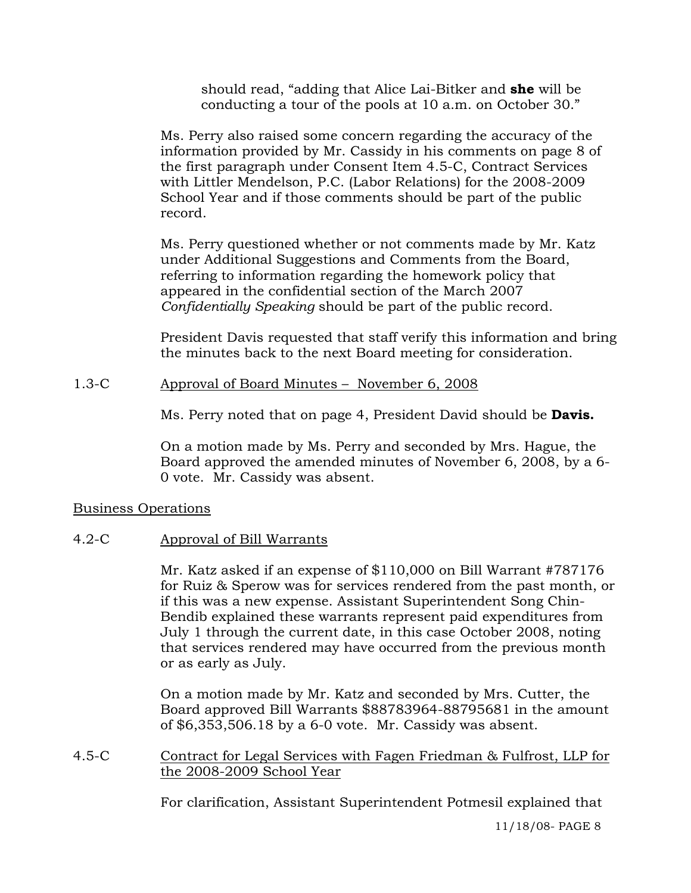should read, "adding that Alice Lai-Bitker and **she** will be conducting a tour of the pools at 10 a.m. on October 30."

Ms. Perry also raised some concern regarding the accuracy of the information provided by Mr. Cassidy in his comments on page 8 of the first paragraph under Consent Item 4.5-C, Contract Services with Littler Mendelson, P.C. (Labor Relations) for the 2008-2009 School Year and if those comments should be part of the public record.

Ms. Perry questioned whether or not comments made by Mr. Katz under Additional Suggestions and Comments from the Board, referring to information regarding the homework policy that appeared in the confidential section of the March 2007 *Confidentially Speaking* should be part of the public record.

President Davis requested that staff verify this information and bring the minutes back to the next Board meeting for consideration.

# 1.3-C Approval of Board Minutes – November 6, 2008

Ms. Perry noted that on page 4, President David should be **Davis.** 

On a motion made by Ms. Perry and seconded by Mrs. Hague, the Board approved the amended minutes of November 6, 2008, by a 6- 0 vote. Mr. Cassidy was absent.

# Business Operations

# 4.2-C Approval of Bill Warrants

Mr. Katz asked if an expense of \$110,000 on Bill Warrant #787176 for Ruiz & Sperow was for services rendered from the past month, or if this was a new expense. Assistant Superintendent Song Chin-Bendib explained these warrants represent paid expenditures from July 1 through the current date, in this case October 2008, noting that services rendered may have occurred from the previous month or as early as July.

On a motion made by Mr. Katz and seconded by Mrs. Cutter, the Board approved Bill Warrants \$88783964-88795681 in the amount of \$6,353,506.18 by a 6-0 vote. Mr. Cassidy was absent.

4.5-C Contract for Legal Services with Fagen Friedman & Fulfrost, LLP for the 2008-2009 School Year

For clarification, Assistant Superintendent Potmesil explained that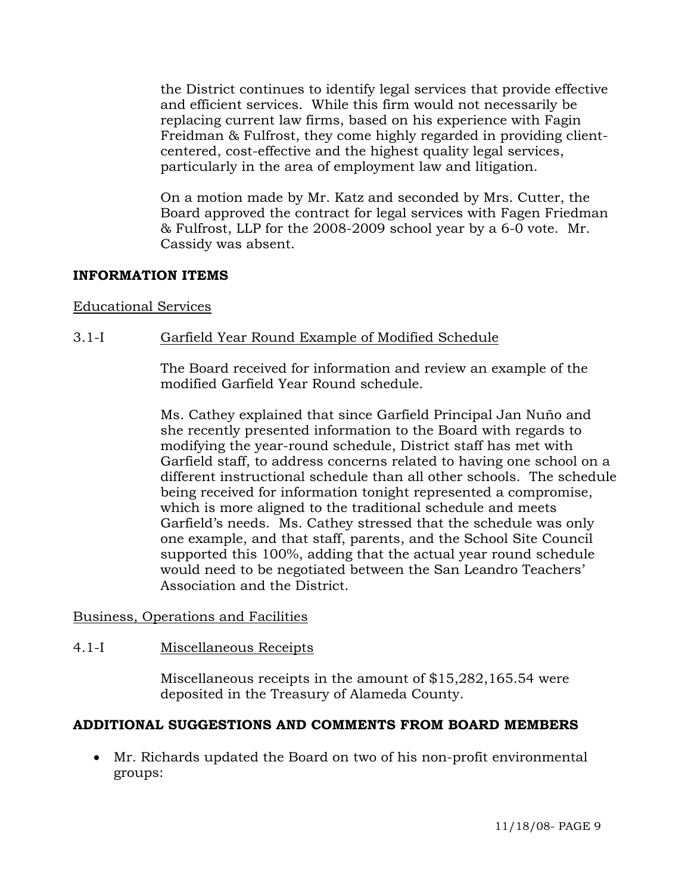the District continues to identify legal services that provide effective and efficient services. While this firm would not necessarily be replacing current law firms, based on his experience with Fagin Freidman & Fulfrost, they come highly regarded in providing clientcentered, cost-effective and the highest quality legal services, particularly in the area of employment law and litigation.

On a motion made by Mr. Katz and seconded by Mrs. Cutter, the Board approved the contract for legal services with Fagen Friedman & Fulfrost, LLP for the 2008-2009 school year by a 6-0 vote. Mr. Cassidy was absent.

# **INFORMATION ITEMS**

#### Educational Services

# 3.1-I Garfield Year Round Example of Modified Schedule

The Board received for information and review an example of the modified Garfield Year Round schedule.

Ms. Cathey explained that since Garfield Principal Jan Nuño and she recently presented information to the Board with regards to modifying the year-round schedule, District staff has met with Garfield staff, to address concerns related to having one school on a different instructional schedule than all other schools. The schedule being received for information tonight represented a compromise, which is more aligned to the traditional schedule and meets Garfield's needs. Ms. Cathey stressed that the schedule was only one example, and that staff, parents, and the School Site Council supported this 100%, adding that the actual year round schedule would need to be negotiated between the San Leandro Teachers' Association and the District.

#### Business, Operations and Facilities

#### 4.1-I Miscellaneous Receipts

Miscellaneous receipts in the amount of \$15,282,165.54 were deposited in the Treasury of Alameda County.

# **ADDITIONAL SUGGESTIONS AND COMMENTS FROM BOARD MEMBERS**

• Mr. Richards updated the Board on two of his non-profit environmental groups: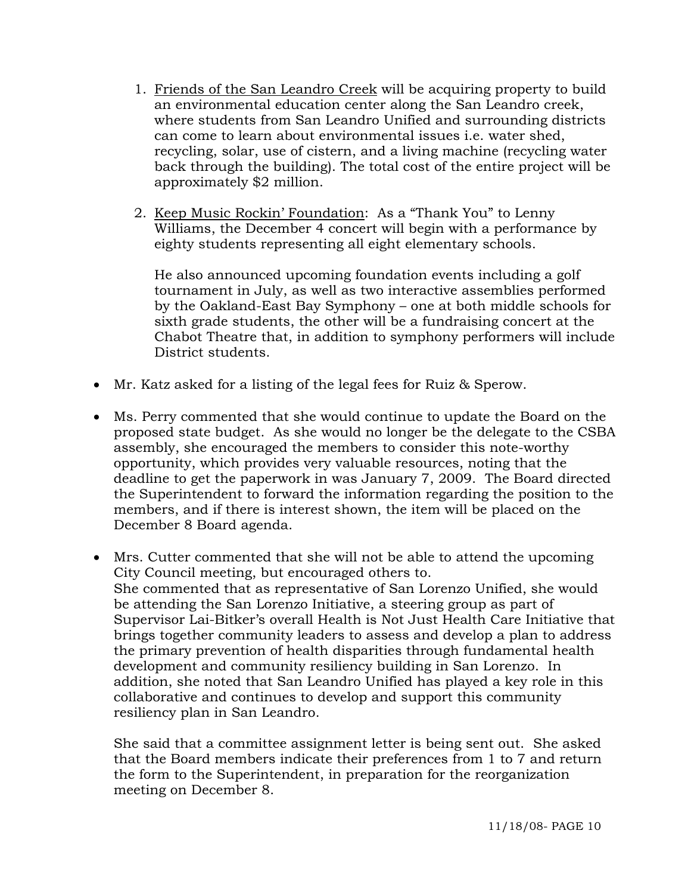- 1. Friends of the San Leandro Creek will be acquiring property to build an environmental education center along the San Leandro creek, where students from San Leandro Unified and surrounding districts can come to learn about environmental issues i.e. water shed, recycling, solar, use of cistern, and a living machine (recycling water back through the building). The total cost of the entire project will be approximately \$2 million.
- 2. Keep Music Rockin' Foundation: As a "Thank You" to Lenny Williams, the December 4 concert will begin with a performance by eighty students representing all eight elementary schools.

He also announced upcoming foundation events including a golf tournament in July, as well as two interactive assemblies performed by the Oakland-East Bay Symphony – one at both middle schools for sixth grade students, the other will be a fundraising concert at the Chabot Theatre that, in addition to symphony performers will include District students.

- Mr. Katz asked for a listing of the legal fees for Ruiz & Sperow.
- Ms. Perry commented that she would continue to update the Board on the proposed state budget. As she would no longer be the delegate to the CSBA assembly, she encouraged the members to consider this note-worthy opportunity, which provides very valuable resources, noting that the deadline to get the paperwork in was January 7, 2009. The Board directed the Superintendent to forward the information regarding the position to the members, and if there is interest shown, the item will be placed on the December 8 Board agenda.
- Mrs. Cutter commented that she will not be able to attend the upcoming City Council meeting, but encouraged others to. She commented that as representative of San Lorenzo Unified, she would be attending the San Lorenzo Initiative, a steering group as part of Supervisor Lai-Bitker's overall Health is Not Just Health Care Initiative that brings together community leaders to assess and develop a plan to address the primary prevention of health disparities through fundamental health development and community resiliency building in San Lorenzo. In addition, she noted that San Leandro Unified has played a key role in this collaborative and continues to develop and support this community resiliency plan in San Leandro.

She said that a committee assignment letter is being sent out. She asked that the Board members indicate their preferences from 1 to 7 and return the form to the Superintendent, in preparation for the reorganization meeting on December 8.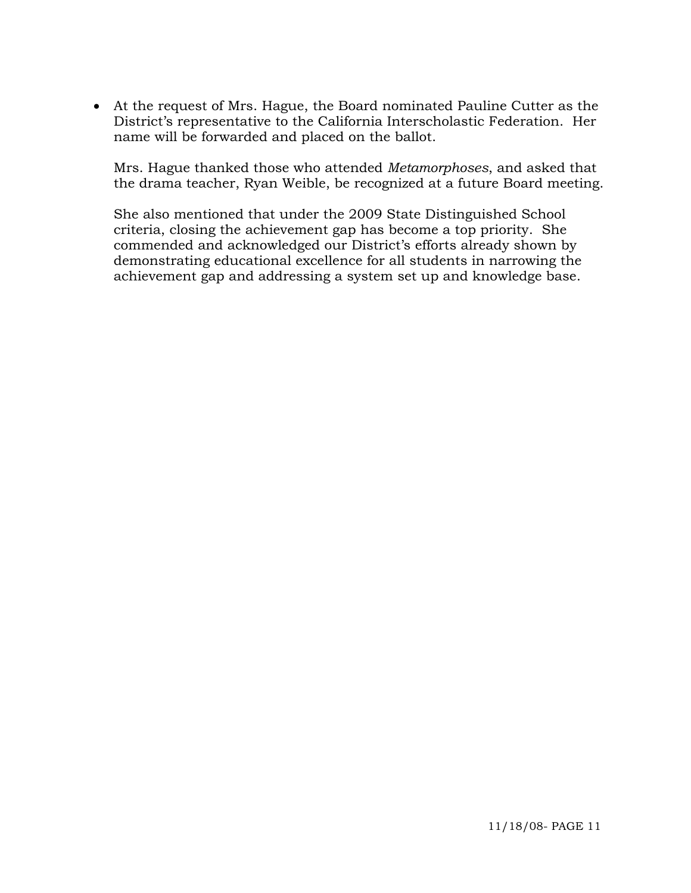• At the request of Mrs. Hague, the Board nominated Pauline Cutter as the District's representative to the California Interscholastic Federation. Her name will be forwarded and placed on the ballot.

Mrs. Hague thanked those who attended *Metamorphoses*, and asked that the drama teacher, Ryan Weible, be recognized at a future Board meeting.

She also mentioned that under the 2009 State Distinguished School criteria, closing the achievement gap has become a top priority. She commended and acknowledged our District's efforts already shown by demonstrating educational excellence for all students in narrowing the achievement gap and addressing a system set up and knowledge base.